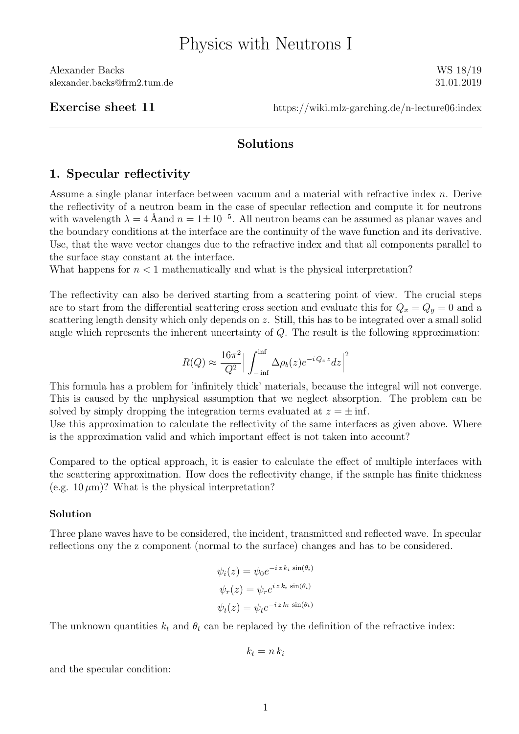Alexander Backs WS 18/19 alexander.backs@frm2.tum.de 31.01.2019

Exercise sheet 11 https://wiki.mlz-garching.de/n-lecture06:index

## Solutions

## 1. Specular reflectivity

Assume a single planar interface between vacuum and a material with refractive index n. Derive the reflectivity of a neutron beam in the case of specular reflection and compute it for neutrons with wavelength  $\lambda = 4$  Åand  $n = 1 \pm 10^{-5}$ . All neutron beams can be assumed as planar waves and the boundary conditions at the interface are the continuity of the wave function and its derivative. Use, that the wave vector changes due to the refractive index and that all components parallel to the surface stay constant at the interface.

What happens for  $n < 1$  mathematically and what is the physical interpretation?

The reflectivity can also be derived starting from a scattering point of view. The crucial steps are to start from the differential scattering cross section and evaluate this for  $Q_x = Q_y = 0$  and a scattering length density which only depends on z. Still, this has to be integrated over a small solid angle which represents the inherent uncertainty of Q. The result is the following approximation:

$$
R(Q) \approx \frac{16\pi^2}{Q^2} \Big| \int_{-\inf}^{\inf} \Delta \rho_b(z) e^{-iQ_z z} dz \Big|^2
$$

This formula has a problem for 'infinitely thick' materials, because the integral will not converge. This is caused by the unphysical assumption that we neglect absorption. The problem can be solved by simply dropping the integration terms evaluated at  $z = \pm \inf$ .

Use this approximation to calculate the reflectivity of the same interfaces as given above. Where is the approximation valid and which important effect is not taken into account?

Compared to the optical approach, it is easier to calculate the effect of multiple interfaces with the scattering approximation. How does the reflectivity change, if the sample has finite thickness (e.g.  $10 \mu m$ )? What is the physical interpretation?

## Solution

Three plane waves have to be considered, the incident, transmitted and reflected wave. In specular reflections ony the z component (normal to the surface) changes and has to be considered.

$$
\psi_i(z) = \psi_0 e^{-i z k_i \sin(\theta_i)}
$$
  

$$
\psi_r(z) = \psi_r e^{i z k_i \sin(\theta_i)}
$$
  

$$
\psi_t(z) = \psi_t e^{-i z k_t \sin(\theta_t)}
$$

The unknown quantities  $k_t$  and  $\theta_t$  can be replaced by the definition of the refractive index:

$$
k_t = n k_i
$$

and the specular condition: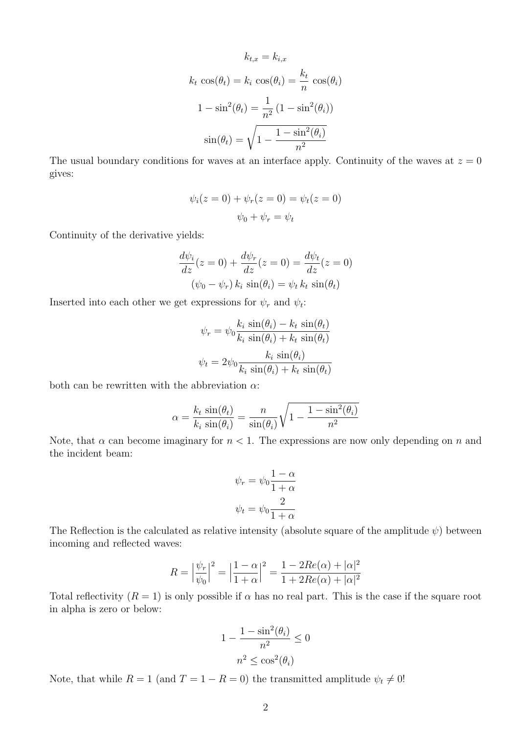$$
k_{t,x} = k_{i,x}
$$

$$
k_t \cos(\theta_t) = k_i \cos(\theta_i) = \frac{k_t}{n} \cos(\theta_i)
$$

$$
1 - \sin^2(\theta_t) = \frac{1}{n^2} (1 - \sin^2(\theta_i))
$$

$$
\sin(\theta_t) = \sqrt{1 - \frac{1 - \sin^2(\theta_i)}{n^2}}
$$

The usual boundary conditions for waves at an interface apply. Continuity of the waves at  $z = 0$ gives:

$$
\psi_i(z=0) + \psi_r(z=0) = \psi_t(z=0)
$$

$$
\psi_0 + \psi_r = \psi_t
$$

Continuity of the derivative yields:

$$
\frac{d\psi_i}{dz}(z=0) + \frac{d\psi_r}{dz}(z=0) = \frac{d\psi_t}{dz}(z=0)
$$

$$
(\psi_0 - \psi_r) k_i \sin(\theta_i) = \psi_t k_t \sin(\theta_t)
$$

Inserted into each other we get expressions for  $\psi_r$  and  $\psi_t$ :

$$
\psi_r = \psi_0 \frac{k_i \sin(\theta_i) - k_t \sin(\theta_t)}{k_i \sin(\theta_i) + k_t \sin(\theta_t)}
$$

$$
\psi_t = 2\psi_0 \frac{k_i \sin(\theta_i)}{k_i \sin(\theta_i) + k_t \sin(\theta_t)}
$$

both can be rewritten with the abbreviation  $\alpha$ :

$$
\alpha = \frac{k_t \sin(\theta_t)}{k_i \sin(\theta_i)} = \frac{n}{\sin(\theta_i)} \sqrt{1 - \frac{1 - \sin^2(\theta_i)}{n^2}}
$$

Note, that  $\alpha$  can become imaginary for  $n < 1$ . The expressions are now only depending on n and the incident beam:

$$
\psi_r = \psi_0 \frac{1 - \alpha}{1 + \alpha}
$$

$$
\psi_t = \psi_0 \frac{2}{1 + \alpha}
$$

The Reflection is the calculated as relative intensity (absolute square of the amplitude  $\psi$ ) between incoming and reflected waves:

$$
R = \left| \frac{\psi_r}{\psi_0} \right|^2 = \left| \frac{1 - \alpha}{1 + \alpha} \right|^2 = \frac{1 - 2Re(\alpha) + |\alpha|^2}{1 + 2Re(\alpha) + |\alpha|^2}
$$

Total reflectivity  $(R = 1)$  is only possible if  $\alpha$  has no real part. This is the case if the square root in alpha is zero or below:

$$
1 - \frac{1 - \sin^2(\theta_i)}{n^2} \le 0
$$

$$
n^2 \le \cos^2(\theta_i)
$$

Note, that while  $R = 1$  (and  $T = 1 - R = 0$ ) the transmitted amplitude  $\psi_t \neq 0!$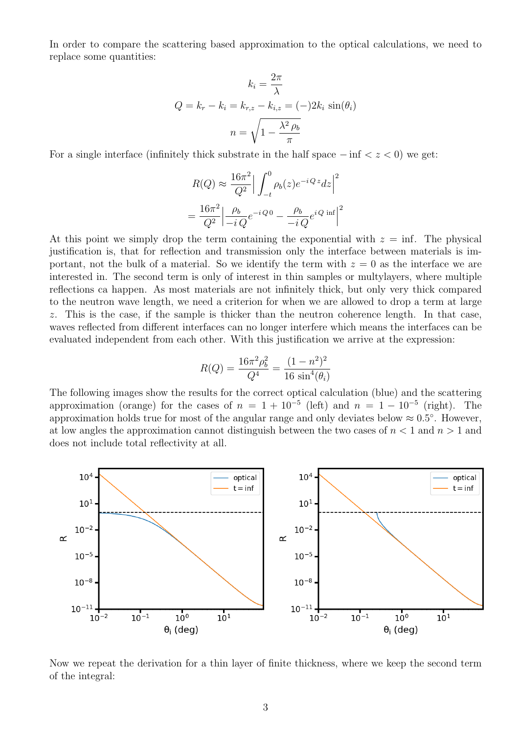In order to compare the scattering based approximation to the optical calculations, we need to replace some quantities:

$$
k_i = \frac{2\pi}{\lambda}
$$

$$
Q = k_r - k_i = k_{r,z} - k_{i,z} = (-)2k_i \sin(\theta_i)
$$

$$
n = \sqrt{1 - \frac{\lambda^2 \rho_b}{\pi}}
$$

For a single interface (infinitely thick substrate in the half space  $-\inf < z < 0$ ) we get:

$$
R(Q) \approx \frac{16\pi^2}{Q^2} \Big| \int_{-t}^{0} \rho_b(z) e^{-iQz} dz \Big|^2
$$

$$
= \frac{16\pi^2}{Q^2} \Big| \frac{\rho_b}{-iQ} e^{-iQ} - \frac{\rho_b}{-iQ} e^{iQ} \inf \Big|^2
$$

At this point we simply drop the term containing the exponential with  $z = \inf$ . The physical justification is, that for reflection and transmission only the interface between materials is important, not the bulk of a material. So we identify the term with  $z = 0$  as the interface we are interested in. The second term is only of interest in thin samples or multylayers, where multiple reflections ca happen. As most materials are not infinitely thick, but only very thick compared to the neutron wave length, we need a criterion for when we are allowed to drop a term at large z. This is the case, if the sample is thicker than the neutron coherence length. In that case, waves reflected from different interfaces can no longer interfere which means the interfaces can be evaluated independent from each other. With this justification we arrive at the expression:

$$
R(Q) = \frac{16\pi^2 \rho_b^2}{Q^4} = \frac{(1 - n^2)^2}{16 \sin^4(\theta_i)}
$$

The following images show the results for the correct optical calculation (blue) and the scattering approximation (orange) for the cases of  $n = 1 + 10^{-5}$  (left) and  $n = 1 - 10^{-5}$  (right). The approximation holds true for most of the angular range and only deviates below  $\approx 0.5^{\circ}$ . However, at low angles the approximation cannot distinguish between the two cases of  $n < 1$  and  $n > 1$  and does not include total reflectivity at all.



Now we repeat the derivation for a thin layer of finite thickness, where we keep the second term of the integral: